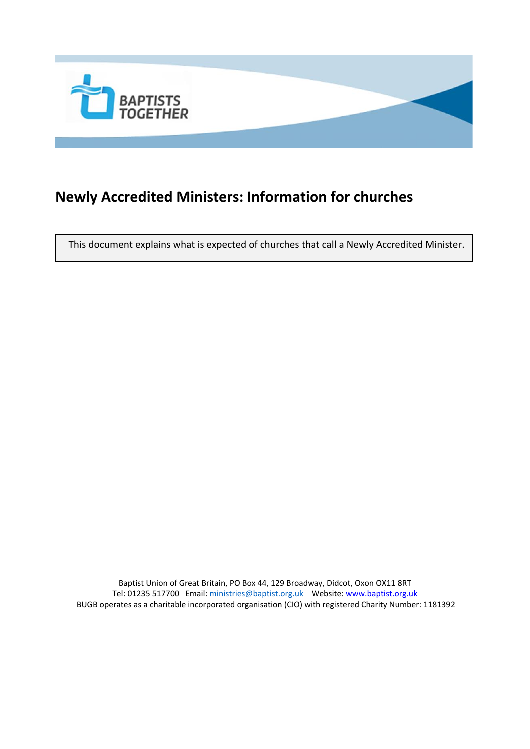

# **Newly Accredited Ministers: Information for churches**

This document explains what is expected of churches that call a Newly Accredited Minister.

Baptist Union of Great Britain, PO Box 44, 129 Broadway, Didcot, Oxon OX11 8RT Tel: 01235 517700 Email[: ministries@baptist.org.uk](mailto:ministries@baptist.org.uk) Website[: www.baptist.org.uk](http://www.baptist.org.uk/) BUGB operates as a charitable incorporated organisation (CIO) with registered Charity Number: 1181392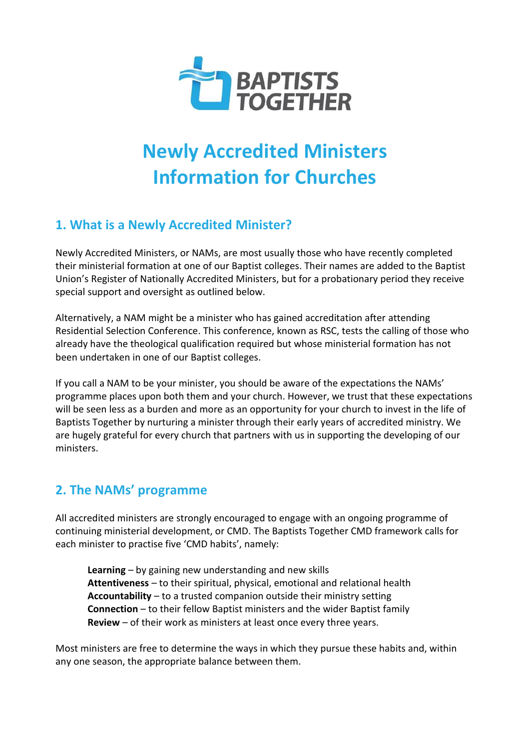

# **Newly Accredited Ministers Information for Churches**

## **1. What is a Newly Accredited Minister?**

Newly Accredited Ministers, or NAMs, are most usually those who have recently completed their ministerial formation at one of our Baptist colleges. Their names are added to the Baptist Union's Register of Nationally Accredited Ministers, but for a probationary period they receive special support and oversight as outlined below.

Alternatively, a NAM might be a minister who has gained accreditation after attending Residential Selection Conference. This conference, known as RSC, tests the calling of those who already have the theological qualification required but whose ministerial formation has not been undertaken in one of our Baptist colleges.

If you call a NAM to be your minister, you should be aware of the expectations the NAMs' programme places upon both them and your church. However, we trust that these expectations will be seen less as a burden and more as an opportunity for your church to invest in the life of Baptists Together by nurturing a minister through their early years of accredited ministry. We are hugely grateful for every church that partners with us in supporting the developing of our ministers.

#### **2. The NAMs' programme**

All accredited ministers are strongly encouraged to engage with an ongoing programme of continuing ministerial development, or CMD. The Baptists Together CMD framework calls for each minister to practise five 'CMD habits', namely:

**Learning** – by gaining new understanding and new skills **Attentiveness** – to their spiritual, physical, emotional and relational health **Accountability** – to a trusted companion outside their ministry setting **Connection** – to their fellow Baptist ministers and the wider Baptist family **Review** – of their work as ministers at least once every three years.

Most ministers are free to determine the ways in which they pursue these habits and, within any one season, the appropriate balance between them.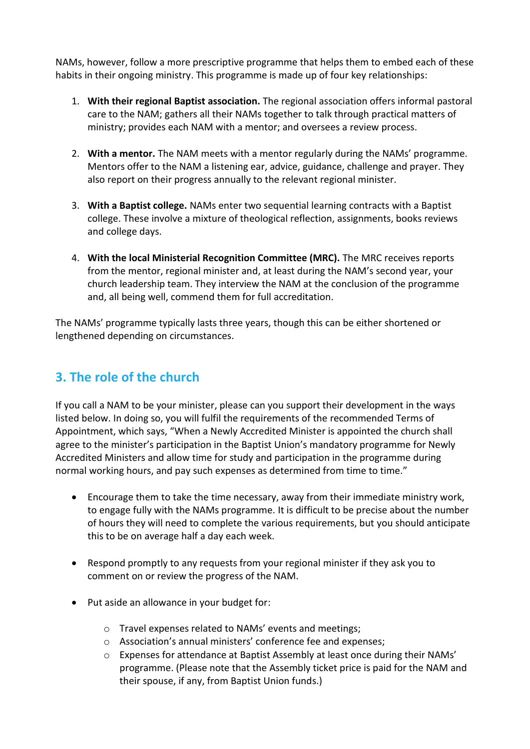NAMs, however, follow a more prescriptive programme that helps them to embed each of these habits in their ongoing ministry. This programme is made up of four key relationships:

- 1. **With their regional Baptist association.** The regional association offers informal pastoral care to the NAM; gathers all their NAMs together to talk through practical matters of ministry; provides each NAM with a mentor; and oversees a review process.
- 2. **With a mentor.** The NAM meets with a mentor regularly during the NAMs' programme. Mentors offer to the NAM a listening ear, advice, guidance, challenge and prayer. They also report on their progress annually to the relevant regional minister.
- 3. **With a Baptist college.** NAMs enter two sequential learning contracts with a Baptist college. These involve a mixture of theological reflection, assignments, books reviews and college days.
- 4. **With the local Ministerial Recognition Committee (MRC).** The MRC receives reports from the mentor, regional minister and, at least during the NAM's second year, your church leadership team. They interview the NAM at the conclusion of the programme and, all being well, commend them for full accreditation.

The NAMs' programme typically lasts three years, though this can be either shortened or lengthened depending on circumstances.

## **3. The role of the church**

If you call a NAM to be your minister, please can you support their development in the ways listed below. In doing so, you will fulfil the requirements of the recommended Terms of Appointment, which says, "When a Newly Accredited Minister is appointed the church shall agree to the minister's participation in the Baptist Union's mandatory programme for Newly Accredited Ministers and allow time for study and participation in the programme during normal working hours, and pay such expenses as determined from time to time."

- Encourage them to take the time necessary, away from their immediate ministry work, to engage fully with the NAMs programme. It is difficult to be precise about the number of hours they will need to complete the various requirements, but you should anticipate this to be on average half a day each week.
- Respond promptly to any requests from your regional minister if they ask you to comment on or review the progress of the NAM.
- Put aside an allowance in your budget for:
	- o Travel expenses related to NAMs' events and meetings;
	- o Association's annual ministers' conference fee and expenses;
	- o Expenses for attendance at Baptist Assembly at least once during their NAMs' programme. (Please note that the Assembly ticket price is paid for the NAM and their spouse, if any, from Baptist Union funds.)